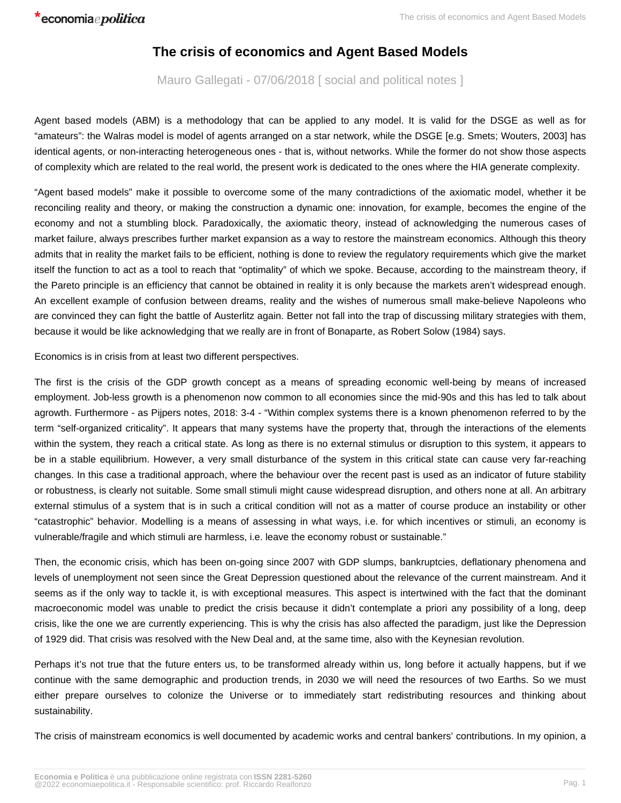## **The crisis of economics and Agent Based Models**

Mauro Gallegati - 07/06/2018 [ social and political notes ]

Agent based models (ABM) is a methodology that can be applied to any model. It is valid for the DSGE as well as for "amateurs": the Walras model is model of agents arranged on a star network, while the DSGE [e.g. Smets; Wouters, 2003] has identical agents, or non-interacting heterogeneous ones - that is, without networks. While the former do not show those aspects of complexity which are related to the real world, the present work is dedicated to the ones where the HIA generate complexity.

"Agent based models" make it possible to overcome some of the many contradictions of the axiomatic model, whether it be reconciling reality and theory, or making the construction a dynamic one: innovation, for example, becomes the engine of the economy and not a stumbling block. Paradoxically, the axiomatic theory, instead of acknowledging the numerous cases of market failure, always prescribes further market expansion as a way to restore the mainstream economics. Although this theory admits that in reality the market fails to be efficient, nothing is done to review the regulatory requirements which give the market itself the function to act as a tool to reach that "optimality" of which we spoke. Because, according to the mainstream theory, if the Pareto principle is an efficiency that cannot be obtained in reality it is only because the markets aren't widespread enough. An excellent example of confusion between dreams, reality and the wishes of numerous small make-believe Napoleons who are convinced they can fight the battle of Austerlitz again. Better not fall into the trap of discussing military strategies with them, because it would be like acknowledging that we really are in front of Bonaparte, as Robert Solow (1984) says.

Economics is in crisis from at least two different perspectives.

The first is the crisis of the GDP growth concept as a means of spreading economic well-being by means of increased employment. Job-less growth is a phenomenon now common to all economies since the mid-90s and this has led to talk about agrowth. Furthermore - as Pijpers notes, 2018: 3-4 - "Within complex systems there is a known phenomenon referred to by the term "self-organized criticality". It appears that many systems have the property that, through the interactions of the elements within the system, they reach a critical state. As long as there is no external stimulus or disruption to this system, it appears to be in a stable equilibrium. However, a very small disturbance of the system in this critical state can cause very far-reaching changes. In this case a traditional approach, where the behaviour over the recent past is used as an indicator of future stability or robustness, is clearly not suitable. Some small stimuli might cause widespread disruption, and others none at all. An arbitrary external stimulus of a system that is in such a critical condition will not as a matter of course produce an instability or other "catastrophic" behavior. Modelling is a means of assessing in what ways, i.e. for which incentives or stimuli, an economy is vulnerable/fragile and which stimuli are harmless, i.e. leave the economy robust or sustainable."

Then, the economic crisis, which has been on-going since 2007 with GDP slumps, bankruptcies, deflationary phenomena and levels of unemployment not seen since the Great Depression questioned about the relevance of the current mainstream. And it seems as if the only way to tackle it, is with exceptional measures. This aspect is intertwined with the fact that the dominant macroeconomic model was unable to predict the crisis because it didn't contemplate a priori any possibility of a long, deep crisis, like the one we are currently experiencing. This is why the crisis has also affected the paradigm, just like the Depression of 1929 did. That crisis was resolved with the New Deal and, at the same time, also with the Keynesian revolution.

Perhaps it's not true that the future enters us, to be transformed already within us, long before it actually happens, but if we continue with the same demographic and production trends, in 2030 we will need the resources of two Earths. So we must either prepare ourselves to colonize the Universe or to immediately start redistributing resources and thinking about sustainability.

The crisis of mainstream economics is well documented by academic works and central bankers' contributions. In my opinion, a